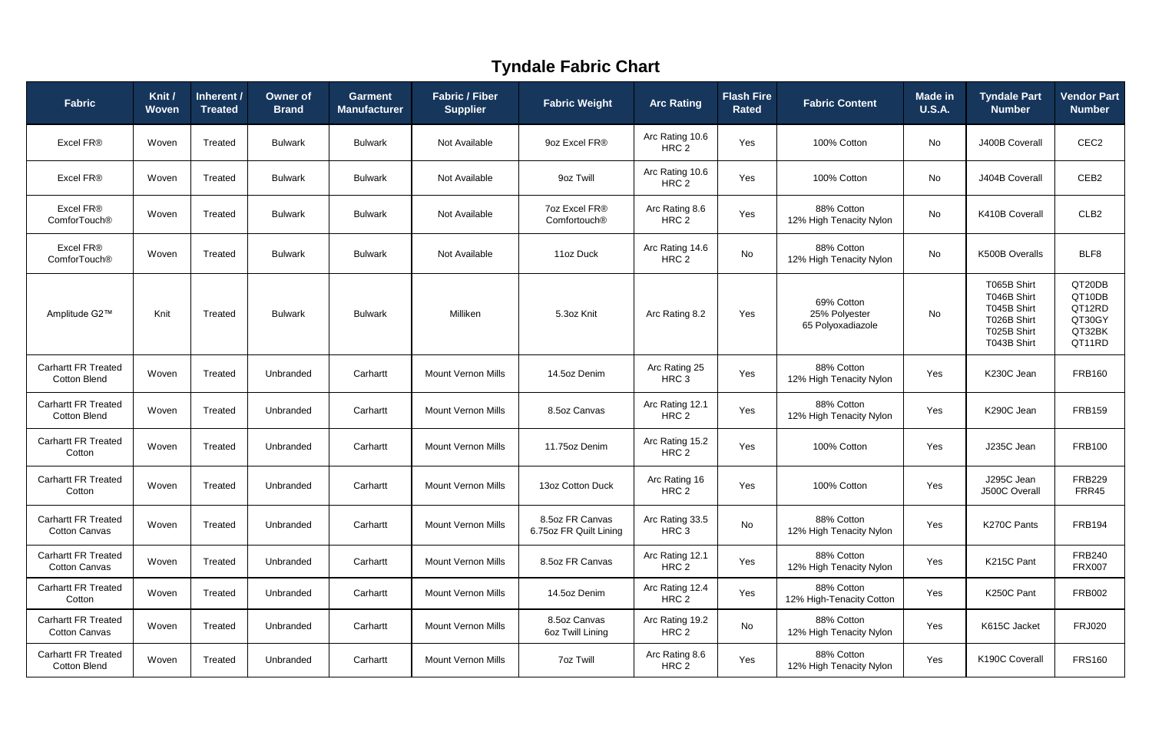| Fabric                                             | Knit /<br><b>Woven</b> | Inherent /<br><b>Treated</b> | <b>Owner of</b><br><b>Brand</b> | <b>Garment</b><br><b>Manufacturer</b> | <b>Fabric / Fiber</b><br><b>Supplier</b> | <b>Fabric Weight</b>                      | <b>Arc Rating</b>                   | <b>Flash Fire</b><br><b>Rated</b> | <b>Fabric Content</b>                            | <b>Made in</b><br><b>U.S.A.</b> | <b>Tyndale Part</b><br><b>Number</b>                                                   | <b>Vendor Part</b><br><b>Number</b>                      |
|----------------------------------------------------|------------------------|------------------------------|---------------------------------|---------------------------------------|------------------------------------------|-------------------------------------------|-------------------------------------|-----------------------------------|--------------------------------------------------|---------------------------------|----------------------------------------------------------------------------------------|----------------------------------------------------------|
| Excel FR®                                          | Woven                  | Treated                      | <b>Bulwark</b>                  | <b>Bulwark</b>                        | Not Available                            | 9oz Excel FR®                             | Arc Rating 10.6<br>HRC 2            | Yes                               | 100% Cotton                                      | No                              | J400B Coverall                                                                         | CEC <sub>2</sub>                                         |
| Excel FR®                                          | Woven                  | Treated                      | <b>Bulwark</b>                  | <b>Bulwark</b>                        | Not Available                            | 9oz Twill                                 | Arc Rating 10.6<br>HRC <sub>2</sub> | Yes                               | 100% Cotton                                      | No                              | J404B Coverall                                                                         | CEB <sub>2</sub>                                         |
| Excel FR®<br>ComforTouch®                          | Woven                  | Treated                      | <b>Bulwark</b>                  | <b>Bulwark</b>                        | Not Available                            | 7oz Excel FR®<br>Comfortouch <sup>®</sup> | Arc Rating 8.6<br>HRC 2             | Yes                               | 88% Cotton<br>12% High Tenacity Nylon            | No                              | K410B Coverall                                                                         | CLB <sub>2</sub>                                         |
| Excel FR®<br>ComforTouch <sup>®</sup>              | Woven                  | Treated                      | <b>Bulwark</b>                  | <b>Bulwark</b>                        | Not Available                            | 11oz Duck                                 | Arc Rating 14.6<br>HRC <sub>2</sub> | No                                | 88% Cotton<br>12% High Tenacity Nylon            | No                              | K500B Overalls                                                                         | BLF8                                                     |
| Amplitude G2™                                      | Knit                   | Treated                      | <b>Bulwark</b>                  | <b>Bulwark</b>                        | Milliken                                 | 5.3oz Knit                                | Arc Rating 8.2                      | Yes                               | 69% Cotton<br>25% Polyester<br>65 Polyoxadiazole | No                              | T065B Shirt<br>T046B Shirt<br>T045B Shirt<br>T026B Shirt<br>T025B Shirt<br>T043B Shirt | QT20DB<br>QT10DB<br>QT12RD<br>QT30GY<br>QT32BK<br>QT11RD |
| <b>Carhartt FR Treated</b><br><b>Cotton Blend</b>  | Woven                  | Treated                      | Unbranded                       | Carhartt                              | <b>Mount Vernon Mills</b>                | 14.5oz Denim                              | Arc Rating 25<br>HRC <sub>3</sub>   | Yes                               | 88% Cotton<br>12% High Tenacity Nylon            | Yes                             | K230C Jean                                                                             | <b>FRB160</b>                                            |
| <b>Carhartt FR Treated</b><br><b>Cotton Blend</b>  | Woven                  | Treated                      | Unbranded                       | Carhartt                              | <b>Mount Vernon Mills</b>                | 8.5oz Canvas                              | Arc Rating 12.1<br>HRC <sub>2</sub> | Yes                               | 88% Cotton<br>12% High Tenacity Nylon            | Yes                             | K290C Jean                                                                             | <b>FRB159</b>                                            |
| <b>Carhartt FR Treated</b><br>Cotton               | Woven                  | Treated                      | Unbranded                       | Carhartt                              | <b>Mount Vernon Mills</b>                | 11.75oz Denim                             | Arc Rating 15.2<br>HRC <sub>2</sub> | Yes                               | 100% Cotton                                      | Yes                             | J235C Jean                                                                             | <b>FRB100</b>                                            |
| <b>Carhartt FR Treated</b><br>Cotton               | Woven                  | Treated                      | Unbranded                       | Carhartt                              | <b>Mount Vernon Mills</b>                | 13oz Cotton Duck                          | Arc Rating 16<br>HRC 2              | Yes                               | 100% Cotton                                      | Yes                             | J295C Jean<br>J500C Overall                                                            | <b>FRB229</b><br>FRR45                                   |
| <b>Carhartt FR Treated</b><br><b>Cotton Canvas</b> | Woven                  | Treated                      | Unbranded                       | Carhartt                              | <b>Mount Vernon Mills</b>                | 8.5oz FR Canvas<br>6.75oz FR Quilt Lining | Arc Rating 33.5<br>HRC <sub>3</sub> | No                                | 88% Cotton<br>12% High Tenacity Nylon            | Yes                             | K270C Pants                                                                            | <b>FRB194</b>                                            |
| <b>Carhartt FR Treated</b><br><b>Cotton Canvas</b> | Woven                  | Treated                      | Unbranded                       | Carhartt                              | <b>Mount Vernon Mills</b>                | 8.5oz FR Canvas                           | Arc Rating 12.1<br>HRC 2            | Yes                               | 88% Cotton<br>12% High Tenacity Nylon            | Yes                             | K215C Pant                                                                             | <b>FRB240</b><br><b>FRX007</b>                           |
| <b>Carhartt FR Treated</b><br>Cotton               | Woven                  | Treated                      | Unbranded                       | Carhartt                              | Mount Vernon Mills                       | 14.5oz Denim                              | Arc Rating 12.4<br>HRC 2            | Yes                               | 88% Cotton<br>12% High-Tenacity Cotton           | Yes                             | K250C Pant                                                                             | <b>FRB002</b>                                            |
| <b>Carhartt FR Treated</b><br><b>Cotton Canvas</b> | Woven                  | Treated                      | Unbranded                       | Carhartt                              | <b>Mount Vernon Mills</b>                | 8.5oz Canvas<br>6oz Twill Lining          | Arc Rating 19.2<br>HRC 2            | No                                | 88% Cotton<br>12% High Tenacity Nylon            | Yes                             | K615C Jacket                                                                           | <b>FRJ020</b>                                            |
| <b>Carhartt FR Treated</b><br><b>Cotton Blend</b>  | Woven                  | Treated                      | Unbranded                       | Carhartt                              | <b>Mount Vernon Mills</b>                | <b>7oz Twill</b>                          | Arc Rating 8.6<br>HRC 2             | Yes                               | 88% Cotton<br>12% High Tenacity Nylon            | Yes                             | K190C Coverall                                                                         | <b>FRS160</b>                                            |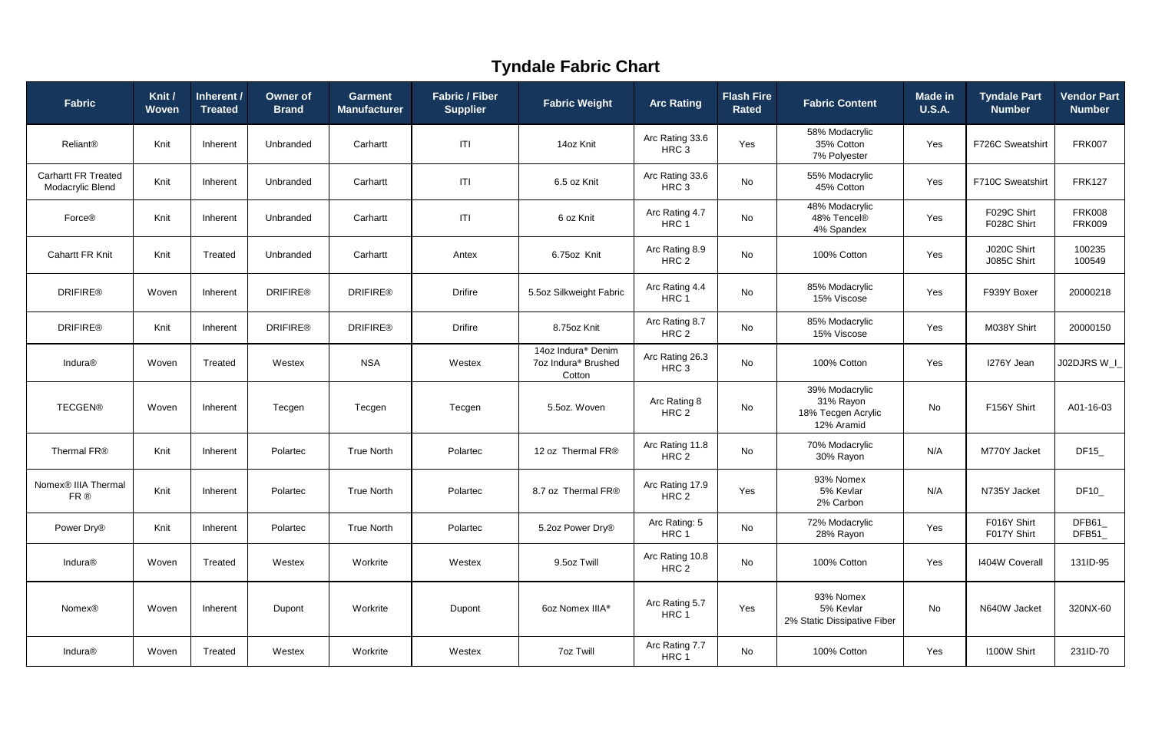| <b>Fabric</b>                                  | Knit /<br><b>Woven</b> | Inherent /<br><b>Treated</b> | <b>Owner of</b><br><b>Brand</b> | <b>Garment</b><br><b>Manufacturer</b> | <b>Fabric / Fiber</b><br><b>Supplier</b> | <b>Fabric Weight</b>                                                        | <b>Arc Rating</b>                   | <b>Flash Fire</b><br><b>Rated</b> | <b>Fabric Content</b>                                           | <b>Made in</b><br><b>U.S.A.</b> | <b>Tyndale Part</b><br><b>Number</b> | <b>Vendor Part</b><br><b>Number</b> |
|------------------------------------------------|------------------------|------------------------------|---------------------------------|---------------------------------------|------------------------------------------|-----------------------------------------------------------------------------|-------------------------------------|-----------------------------------|-----------------------------------------------------------------|---------------------------------|--------------------------------------|-------------------------------------|
| Reliant®                                       | Knit                   | Inherent                     | Unbranded                       | Carhartt                              | T                                        | 14oz Knit                                                                   | Arc Rating 33.6<br>HRC <sub>3</sub> | Yes                               | 58% Modacrylic<br>35% Cotton<br>7% Polyester                    | Yes                             | F726C Sweatshirt                     | <b>FRK007</b>                       |
| <b>Carhartt FR Treated</b><br>Modacrylic Blend | Knit                   | Inherent                     | Unbranded                       | Carhartt                              | T                                        | 6.5 oz Knit                                                                 | Arc Rating 33.6<br>HRC <sub>3</sub> | No                                | 55% Modacrylic<br>45% Cotton                                    | Yes                             | F710C Sweatshirt                     | <b>FRK127</b>                       |
| Force®                                         | Knit                   | Inherent                     | Unbranded                       | Carhartt                              | T                                        | 6 oz Knit                                                                   | Arc Rating 4.7<br>HRC1              | No                                | 48% Modacrylic<br>48% Tencel®<br>4% Spandex                     | Yes                             | F029C Shirt<br>F028C Shirt           | <b>FRK008</b><br><b>FRK009</b>      |
| <b>Cahartt FR Knit</b>                         | Knit                   | Treated                      | Unbranded                       | Carhartt                              | Antex                                    | 6.75oz Knit                                                                 | Arc Rating 8.9<br>HRC 2             | No                                | 100% Cotton                                                     | Yes                             | J020C Shirt<br>J085C Shirt           | 100235<br>100549                    |
| <b>DRIFIRE®</b>                                | Woven                  | Inherent                     | <b>DRIFIRE®</b>                 | <b>DRIFIRE®</b>                       | <b>Drifire</b>                           | 5.5oz Silkweight Fabric                                                     | Arc Rating 4.4<br>HRC <sub>1</sub>  | No                                | 85% Modacrylic<br>15% Viscose                                   | Yes                             | F939Y Boxer                          | 20000218                            |
| <b>DRIFIRE®</b>                                | Knit                   | Inherent                     | <b>DRIFIRE®</b>                 | <b>DRIFIRE®</b>                       | <b>Drifire</b>                           | 8.75oz Knit                                                                 | Arc Rating 8.7<br>HRC 2             | No                                | 85% Modacrylic<br>15% Viscose                                   | Yes                             | M038Y Shirt                          | 20000150                            |
| Indura®                                        | Woven                  | Treated                      | Westex                          | <b>NSA</b>                            | Westex                                   | 14oz Indura <sup>®</sup> Denim<br>7oz Indura <sup>®</sup> Brushed<br>Cotton | Arc Rating 26.3<br>HRC <sub>3</sub> | No                                | 100% Cotton                                                     | Yes                             | I276Y Jean                           | J02DJRS W_I                         |
| <b>TECGEN®</b>                                 | Woven                  | Inherent                     | Tecgen                          | Tecgen                                | Tecgen                                   | 5.5oz. Woven                                                                | Arc Rating 8<br>HRC 2               | No                                | 39% Modacrylic<br>31% Rayon<br>18% Tecgen Acrylic<br>12% Aramid | No                              | F156Y Shirt                          | A01-16-03                           |
| Thermal FR®                                    | Knit                   | Inherent                     | Polartec                        | <b>True North</b>                     | Polartec                                 | 12 oz Thermal FR®                                                           | Arc Rating 11.8<br>HRC 2            | No                                | 70% Modacrylic<br>30% Rayon                                     | N/A                             | M770Y Jacket                         | DF15_                               |
| Nomex <sup>®</sup> IIIA Thermal<br>FR ®        | Knit                   | Inherent                     | Polartec                        | <b>True North</b>                     | Polartec                                 | 8.7 oz Thermal FR®                                                          | Arc Rating 17.9<br>HRC <sub>2</sub> | Yes                               | 93% Nomex<br>5% Kevlar<br>2% Carbon                             | N/A                             | N735Y Jacket                         | DF10_                               |
| Power Dry®                                     | Knit                   | Inherent                     | Polartec                        | <b>True North</b>                     | Polartec                                 | 5.2oz Power Dry®                                                            | Arc Rating: 5<br>HRC 1              | No                                | 72% Modacrylic<br>28% Rayon                                     | Yes                             | F016Y Shirt<br>F017Y Shirt           | DFB61<br>DFB51                      |
| Indura <sup>®</sup>                            | Woven                  | Treated                      | Westex                          | Workrite                              | Westex                                   | 9.5oz Twill                                                                 | Arc Rating 10.8<br>HRC 2            | No                                | 100% Cotton                                                     | Yes                             | <b>I404W Coverall</b>                | 131ID-95                            |
| <b>Nomex®</b>                                  | Woven                  | Inherent                     | Dupont                          | Workrite                              | Dupont                                   | 6oz Nomex IIIA <sup>®</sup>                                                 | Arc Rating 5.7<br>HRC1              | Yes                               | 93% Nomex<br>5% Kevlar<br>2% Static Dissipative Fiber           | No                              | N640W Jacket                         | 320NX-60                            |
| Indura®                                        | Woven                  | Treated                      | Westex                          | Workrite                              | Westex                                   | <b>7oz Twill</b>                                                            | Arc Rating 7.7<br>HRC 1             | No                                | 100% Cotton                                                     | Yes                             | <b>I100W Shirt</b>                   | 231ID-70                            |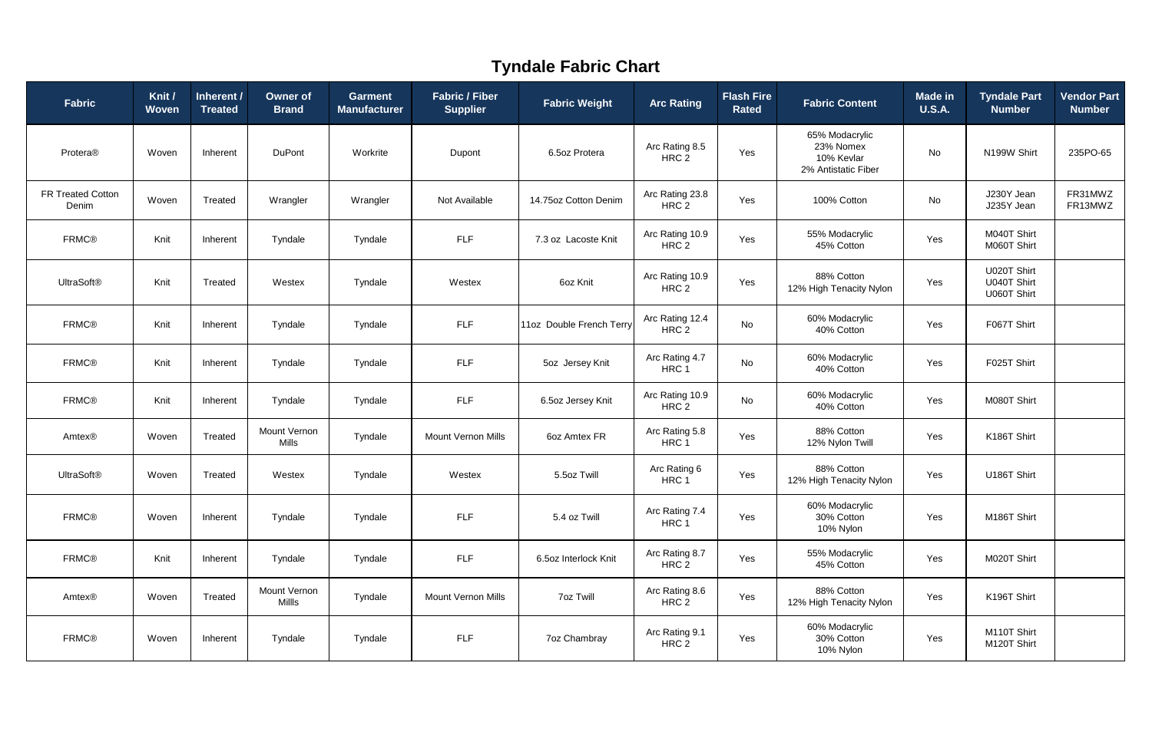| Fabric                            | Knit /<br><b>Woven</b> | Inherent /<br><b>Treated</b> | <b>Owner of</b><br><b>Brand</b> | <b>Garment</b><br><b>Manufacturer</b> | <b>Fabric / Fiber</b><br><b>Supplier</b> | <b>Fabric Weight</b>     | <b>Arc Rating</b>                   | <b>Flash Fire</b><br><b>Rated</b> | <b>Fabric Content</b>                                            | <b>Made in</b><br><b>U.S.A.</b> | <b>Tyndale Part</b><br><b>Number</b>      | <b>Vendor Part</b><br><b>Number</b> |
|-----------------------------------|------------------------|------------------------------|---------------------------------|---------------------------------------|------------------------------------------|--------------------------|-------------------------------------|-----------------------------------|------------------------------------------------------------------|---------------------------------|-------------------------------------------|-------------------------------------|
| Protera®                          | Woven                  | Inherent                     | <b>DuPont</b>                   | Workrite                              | Dupont                                   | 6.5oz Protera            | Arc Rating 8.5<br>HRC <sub>2</sub>  | Yes                               | 65% Modacrylic<br>23% Nomex<br>10% Kevlar<br>2% Antistatic Fiber | No                              | N199W Shirt                               | 235PO-65                            |
| <b>FR Treated Cotton</b><br>Denim | Woven                  | Treated                      | Wrangler                        | Wrangler                              | Not Available                            | 14.75oz Cotton Denim     | Arc Rating 23.8<br>HRC <sub>2</sub> | Yes                               | 100% Cotton                                                      | No                              | J230Y Jean<br>J235Y Jean                  | FR31MWZ<br>FR13MWZ                  |
| <b>FRMC®</b>                      | Knit                   | Inherent                     | Tyndale                         | Tyndale                               | <b>FLF</b>                               | 7.3 oz Lacoste Knit      | Arc Rating 10.9<br>HRC <sub>2</sub> | Yes                               | 55% Modacrylic<br>45% Cotton                                     | Yes                             | M040T Shirt<br>M060T Shirt                |                                     |
| <b>UltraSoft®</b>                 | Knit                   | Treated                      | Westex                          | Tyndale                               | Westex                                   | 6oz Knit                 | Arc Rating 10.9<br>HRC 2            | Yes                               | 88% Cotton<br>12% High Tenacity Nylon                            | Yes                             | U020T Shirt<br>U040T Shirt<br>U060T Shirt |                                     |
| <b>FRMC®</b>                      | Knit                   | Inherent                     | Tyndale                         | Tyndale                               | <b>FLF</b>                               | 11oz Double French Terry | Arc Rating 12.4<br>HRC <sub>2</sub> | No                                | 60% Modacrylic<br>40% Cotton                                     | Yes                             | F067T Shirt                               |                                     |
| <b>FRMC®</b>                      | Knit                   | Inherent                     | Tyndale                         | Tyndale                               | <b>FLF</b>                               | 5oz Jersey Knit          | Arc Rating 4.7<br>HRC 1             | No                                | 60% Modacrylic<br>40% Cotton                                     | Yes                             | F025T Shirt                               |                                     |
| <b>FRMC®</b>                      | Knit                   | Inherent                     | Tyndale                         | Tyndale                               | <b>FLF</b>                               | 6.5oz Jersey Knit        | Arc Rating 10.9<br>HRC 2            | No                                | 60% Modacrylic<br>40% Cotton                                     | Yes                             | M080T Shirt                               |                                     |
| Amtex®                            | Woven                  | Treated                      | Mount Vernon<br><b>Mills</b>    | Tyndale                               | <b>Mount Vernon Mills</b>                | 6oz Amtex FR             | Arc Rating 5.8<br>HRC <sub>1</sub>  | Yes                               | 88% Cotton<br>12% Nylon Twill                                    | Yes                             | K186T Shirt                               |                                     |
| <b>UltraSoft®</b>                 | Woven                  | Treated                      | Westex                          | Tyndale                               | Westex                                   | 5.5oz Twill              | Arc Rating 6<br>HRC 1               | Yes                               | 88% Cotton<br>12% High Tenacity Nylon                            | Yes                             | U186T Shirt                               |                                     |
| <b>FRMC®</b>                      | Woven                  | Inherent                     | Tyndale                         | Tyndale                               | <b>FLF</b>                               | 5.4 oz Twill             | Arc Rating 7.4<br>HRC 1             | Yes                               | 60% Modacrylic<br>30% Cotton<br>10% Nylon                        | Yes                             | M186T Shirt                               |                                     |
| <b>FRMC®</b>                      | Knit                   | Inherent                     | Tyndale                         | Tyndale                               | <b>FLF</b>                               | 6.5oz Interlock Knit     | Arc Rating 8.7<br>HRC 2             | Yes                               | 55% Modacrylic<br>45% Cotton                                     | Yes                             | M020T Shirt                               |                                     |
| Amtex®                            | Woven                  | Treated                      | Mount Vernon<br>Millls          | Tyndale                               | <b>Mount Vernon Mills</b>                | <b>7oz Twill</b>         | Arc Rating 8.6<br>HRC 2             | Yes                               | 88% Cotton<br>12% High Tenacity Nylon                            | Yes                             | K196T Shirt                               |                                     |
| <b>FRMC®</b>                      | Woven                  | Inherent                     | Tyndale                         | Tyndale                               | <b>FLF</b>                               | <b>7oz Chambray</b>      | Arc Rating 9.1<br>HRC 2             | Yes                               | 60% Modacrylic<br>30% Cotton<br>10% Nylon                        | Yes                             | M110T Shirt<br>M120T Shirt                |                                     |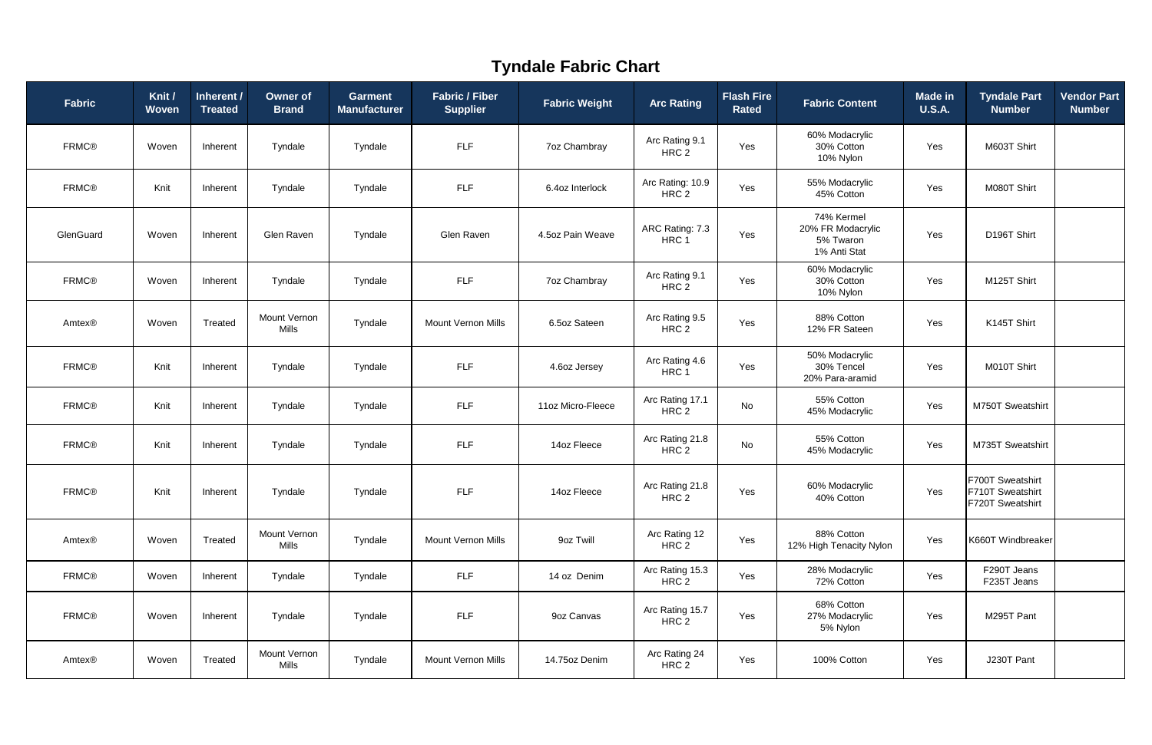| Fabric       | Knit /<br><b>Woven</b> | Inherent /<br><b>Treated</b> | <b>Owner of</b><br><b>Brand</b> | Garment<br><b>Manufacturer</b> | <b>Fabric / Fiber</b><br><b>Supplier</b> | <b>Fabric Weight</b> | <b>Arc Rating</b>                    | <b>Flash Fire</b><br><b>Rated</b> | <b>Fabric Content</b>                                        | <b>Made in</b><br><b>U.S.A.</b> | <b>Tyndale Part</b><br><b>Number</b>                     | <b>Vendor Part</b><br><b>Number</b> |
|--------------|------------------------|------------------------------|---------------------------------|--------------------------------|------------------------------------------|----------------------|--------------------------------------|-----------------------------------|--------------------------------------------------------------|---------------------------------|----------------------------------------------------------|-------------------------------------|
| <b>FRMC®</b> | Woven                  | Inherent                     | Tyndale                         | Tyndale                        | <b>FLF</b>                               | <b>7oz Chambray</b>  | Arc Rating 9.1<br>HRC 2              | Yes                               | 60% Modacrylic<br>30% Cotton<br>10% Nylon                    | Yes                             | M603T Shirt                                              |                                     |
| <b>FRMC®</b> | Knit                   | Inherent                     | Tyndale                         | Tyndale                        | <b>FLF</b>                               | 6.4oz Interlock      | Arc Rating: 10.9<br>HRC <sub>2</sub> | Yes                               | 55% Modacrylic<br>45% Cotton                                 | Yes                             | M080T Shirt                                              |                                     |
| GlenGuard    | Woven                  | Inherent                     | Glen Raven                      | Tyndale                        | Glen Raven                               | 4.5oz Pain Weave     | ARC Rating: 7.3<br>HRC 1             | Yes                               | 74% Kermel<br>20% FR Modacrylic<br>5% Twaron<br>1% Anti Stat | Yes                             | D196T Shirt                                              |                                     |
| <b>FRMC®</b> | Woven                  | Inherent                     | Tyndale                         | Tyndale                        | <b>FLF</b>                               | <b>7oz Chambray</b>  | Arc Rating 9.1<br>HRC 2              | Yes                               | 60% Modacrylic<br>30% Cotton<br>10% Nylon                    | Yes                             | M125T Shirt                                              |                                     |
| Amtex®       | Woven                  | Treated                      | Mount Vernon<br><b>Mills</b>    | Tyndale                        | <b>Mount Vernon Mills</b>                | 6.5oz Sateen         | Arc Rating 9.5<br>HRC 2              | Yes                               | 88% Cotton<br>12% FR Sateen                                  | Yes                             | K145T Shirt                                              |                                     |
| <b>FRMC®</b> | Knit                   | Inherent                     | Tyndale                         | Tyndale                        | <b>FLF</b>                               | 4.6oz Jersey         | Arc Rating 4.6<br>HRC <sub>1</sub>   | Yes                               | 50% Modacrylic<br>30% Tencel<br>20% Para-aramid              | Yes                             | M010T Shirt                                              |                                     |
| <b>FRMC®</b> | Knit                   | Inherent                     | Tyndale                         | Tyndale                        | <b>FLF</b>                               | 11oz Micro-Fleece    | Arc Rating 17.1<br>HRC 2             | No                                | 55% Cotton<br>45% Modacrylic                                 | Yes                             | M750T Sweatshirt                                         |                                     |
| <b>FRMC®</b> | Knit                   | Inherent                     | Tyndale                         | Tyndale                        | <b>FLF</b>                               | 14oz Fleece          | Arc Rating 21.8<br>HRC 2             | No                                | 55% Cotton<br>45% Modacrylic                                 | Yes                             | M735T Sweatshirt                                         |                                     |
| <b>FRMC®</b> | Knit                   | Inherent                     | Tyndale                         | Tyndale                        | <b>FLF</b>                               | 14oz Fleece          | Arc Rating 21.8<br>HRC <sub>2</sub>  | Yes                               | 60% Modacrylic<br>40% Cotton                                 | Yes                             | F700T Sweatshirt<br>F710T Sweatshirt<br>F720T Sweatshirt |                                     |
| Amtex®       | Woven                  | Treated                      | Mount Vernon<br><b>Mills</b>    | Tyndale                        | <b>Mount Vernon Mills</b>                | 9oz Twill            | Arc Rating 12<br>HRC 2               | Yes                               | 88% Cotton<br>12% High Tenacity Nylon                        | Yes                             | K660T Windbreaker                                        |                                     |
| <b>FRMC®</b> | Woven                  | Inherent                     | Tyndale                         | Tyndale                        | <b>FLF</b>                               | 14 oz Denim          | Arc Rating 15.3<br>HRC 2             | Yes                               | 28% Modacrylic<br>72% Cotton                                 | Yes                             | F290T Jeans<br>F235T Jeans                               |                                     |
| <b>FRMC®</b> | Woven                  | Inherent                     | Tyndale                         | Tyndale                        | <b>FLF</b>                               | 9oz Canvas           | Arc Rating 15.7<br>HRC 2             | Yes                               | 68% Cotton<br>27% Modacrylic<br>5% Nylon                     | Yes                             | M295T Pant                                               |                                     |
| Amtex®       | Woven                  | Treated                      | Mount Vernon<br>Mills           | Tyndale                        | Mount Vernon Mills                       | 14.75oz Denim        | Arc Rating 24<br>HRC 2               | Yes                               | 100% Cotton                                                  | Yes                             | J230T Pant                                               |                                     |